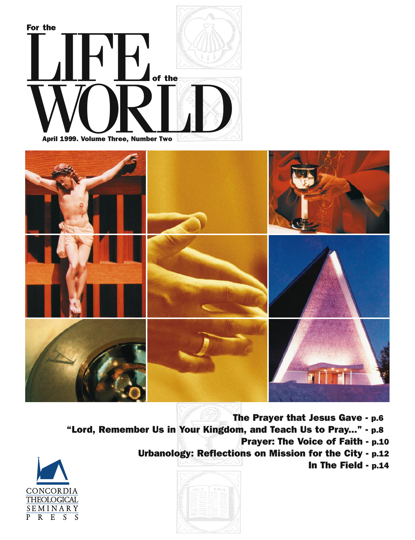



**The Prayer that Jesus Gave - p.6 "Lord, Remember Us in Your Kingdom, and Teach Us to Pray..." - p.8 Prayer: The Voice of Faith - p.10 Urbanology: Reflections on Mission for the City - p.12 In The Field - p.14**



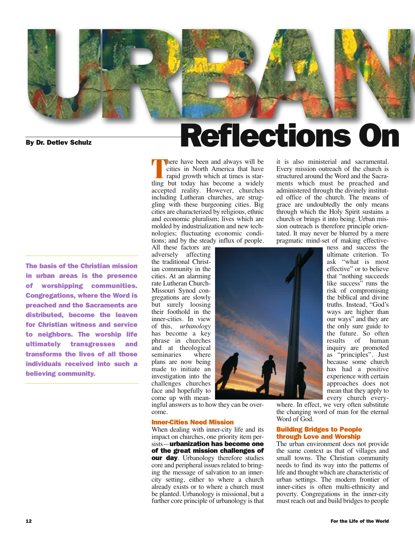

**The basis of the Christian mission in urban areas is the presence of worshipping communities. Congregations, where the Word is preached and the Sacraments are distributed, become the leaven for Christian witness and service to neighbors. The worship life ultimately transgresses and transforms the lives of all those individuals received into such a believing community.**

**There** have been and always will be cities in North America that have rapid growth which at times is startling but today has become a widely accepted reality. However, churches including Lutheran churches, are struggling with these burgeoning cities. Big cities are characterized by religious, ethnic and economic pluralism; lives which are molded by industrialization and new technologies; fluctuating economic conditions; and by the steady influx of people.

All these factors are adversely affecting the traditional Christian community in the cities. At an alarming rate Lutheran Church-Missouri Synod congregations are slowly but surely loosing their foothold in the inner-cities. In view of this, *urbanology* has become a key phrase in churches and at theological<br>seminaries where seminaries plans are now being made to initiate an investigation into the challenges churches face and hopefully to come up with mean-

ingful answers asto how they can be overcome.

#### **Inner-Cities Need Mission**

When dealing with inner-city life and its impact on churches, one priority item persists—**urbanization has become one of the great mission challenges of our day**. Urbanology therefore studies core and peripheral issues related to bringing the message of salvation to an innercity setting, either to where a church already exists or to where a church must be planted. Urbanology is missional, but a further core principle of urbanology is that

it is also ministerial and sacramental. Every mission outreach of the church is structured around the Word and the Sacraments which must be preached and administered through the divinely instituted office of the church. The means of grace are undoubtedly the only means through which the Holy Spirit sustains a church or brings it into being. Urban mission outreach is therefore principle orientated. It may never be blurred by a mere pragmatic mind-set of making effectiveness and success the

**Reflections On**



risk of compromising the biblical and divine truths. Instead, "God's ways are higher than our ways" and they are the only sure guide to the future. So often results of human inquiry are promoted as "principles". Just because some church has had a positive experience with certain approaches does not mean that they apply to every church every-

ultimate criterion. To ask "what is most effective" or to believe that "nothing succeeds like success" runs the

where. In effect, we very often substitute the changing word of man for the eternal Word of God.

#### **Building Bridges to People through Love and Worship**

The urban environment does not provide the same context as that of villages and small towns. The Christian community needs to find its way into the patterns of life and thought which are characteristic of urban settings. The modern frontier of inner-cities is often multi-ethnicity and poverty. Congregations in the inner-city must reach out and build bridges to people